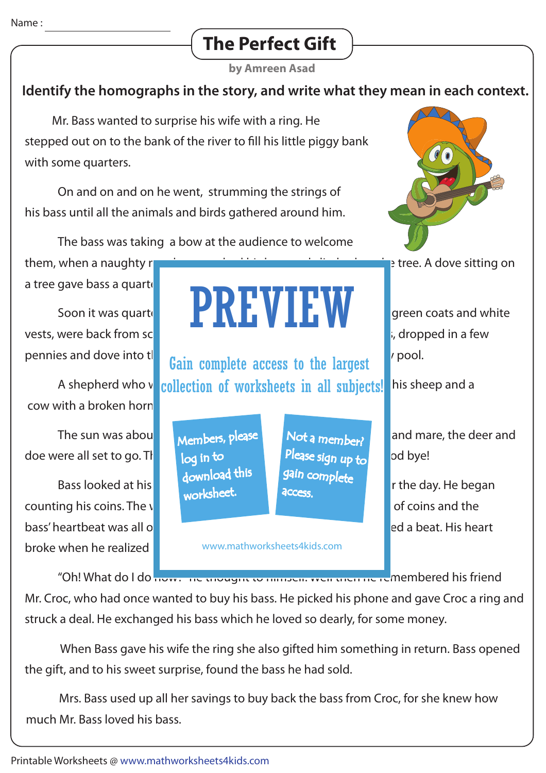# **The Perfect Gift**

**by Amreen Asad**

## **Identify the homographs in the story, and write what they mean in each context.**

 Mr. Bass wanted to surprise his wife with a ring. He stepped out on to the bank of the river to fill his little piggy bank with some quarters.

 On and on and on he went, strumming the strings of his bass until all the animals and birds gathered around him.

The bass was taking a bow at the audience to welcome

them, when a naughty month is bounded in the tree. A dove sitting on a tree gave bass a quarte

vests, were back from school. The tune of the tune of tune of tune of tune of tune of basis, dropped in a few

cow with a broken horn.

doe were all set to go. The local in to the last sign up to bye!

counting his coins. The wind rustling through the leaves, the clinking of coins and the counting of coins and the bass' heartbeat was all one could heart community heart skipped a beat. His heart broke when he realized

Soon it was quarter **part of Froggies**  $\blacksquare$  **part vectors** of froggies, with the score of green coats and white PREVIEW

A shepherd who vorther to a watch of worksheets in all subjects! his sheep and a pennies and dove into the Gain complete access to the largest pool.

> Members, please download this worksheet. log in to

Not a member? gain complete Please sign up to **access** 

www.mathworksheets4kids.com

"Oh! What do I do now: The thought to himself. Well then he remembered his friend Mr. Croc, who had once wanted to buy his bass. He picked his phone and gave Croc a ring and struck a deal. He exchanged his bass which he loved so dearly, for some money.

 When Bass gave his wife the ring she also gifted him something in return. Bass opened the gift, and to his sweet surprise, found the bass he had sold.

 Mrs. Bass used up all her savings to buy back the bass from Croc, for she knew how much Mr. Bass loved his bass.



The sun was about the set all set all set and the good and mare, the deer and mare, the deer and

Bass looked at his watch and thought it was time to wind up for the day. He began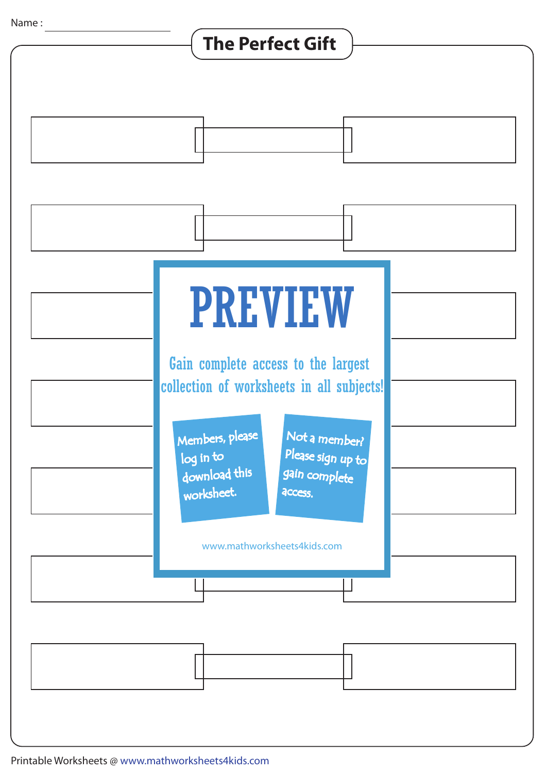## **The Perfect Gift**



Printable Worksheets @ www.mathworksheets4kids.com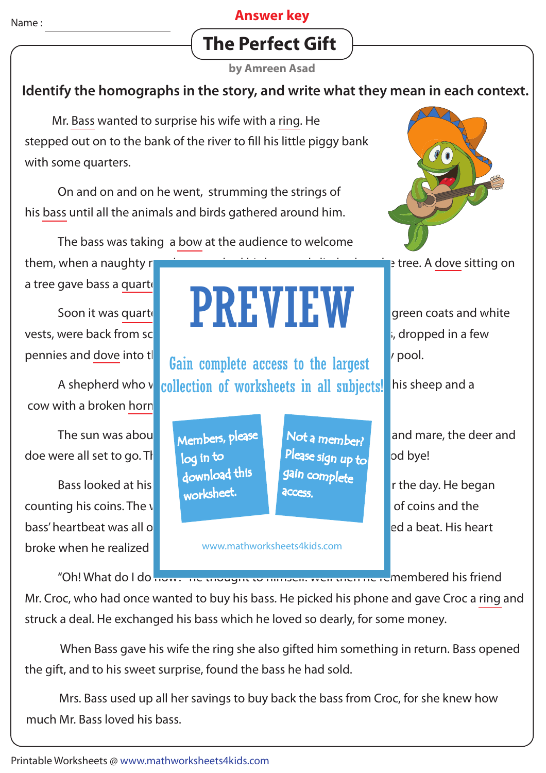#### **Answer key**

# **The Perfect Gift**

**by Amreen Asad**

## **Identify the homographs in the story, and write what they mean in each context.**

 Mr. Bass wanted to surprise his wife with a ring. He stepped out on to the bank of the river to fill his little piggy bank with some quarters.

 On and on and on he went, strumming the strings of his bass until all the animals and birds gathered around him.

The bass was taking a bow at the audience to welcome

them, when a naughty month is bounded in the tree. A dove sitting on a tree gave bass a quarte

cow with a broken horn.

The sun was about the set all set all set and the good and mare, the deer and mare, the deer and doe were all set to go. The local in to the last sign in to book bye!

counting his coins. The wind rustling through the leaves, the clinking of coins and the counting of coins and the bass' heartbeat was all one could heart community heart skipped a beat. His heart broke when he realized

## Soon it was quarter **part of Froggies**  $\blacksquare$  **part vectors** of froggies, with the score of green coats and white vests, were back from school. The tune of the tune of tune of tune of tune of tune of basis, dropped in a few PREVIEW

A shepherd who vorther to a watch of worksheets in all subjects! his sheep and a pennies and <u>dove</u> into the **Gain complete access to the largest** pool.

> Members, please download this worksheet. log in to

Not a member? gain complete Please sign up to **access** 

www.mathworksheets4kids.com

Bass looked at his watch and thought it was time to wind up for the day. He began

"Oh! What do I do now: The thought to himself. Well then he remembered his friend Mr. Croc, who had once wanted to buy his bass. He picked his phone and gave Croc a ring and struck a deal. He exchanged his bass which he loved so dearly, for some money.

 When Bass gave his wife the ring she also gifted him something in return. Bass opened the gift, and to his sweet surprise, found the bass he had sold.

 Mrs. Bass used up all her savings to buy back the bass from Croc, for she knew how much Mr. Bass loved his bass.